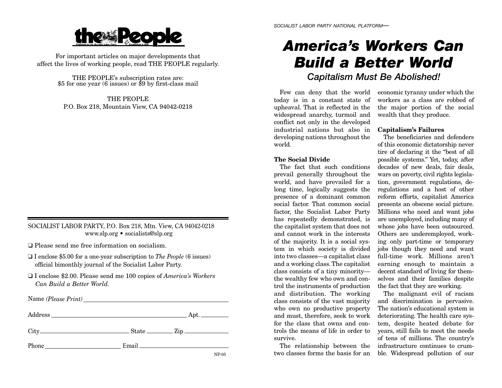# **the Peor**

For important articles on major developments that affect the lives of working people, read THE PEOPLE regularly.

THE PEOPLE's subscription rates are: \$5 for one year (6 issues) or \$9 by first-class mail

THE PEOPLEP.O. Box 218, Mountain View, CA 94042-0218

# SOCIALIST LABOR PARTY, P.O. Box 218, Mtn. View, CA 94042-0218 www.slp.org • socialists@slp.org

❑ Please send me free information on socialism.

- ❑ I enclose \$5.00 for a one-year subscription to *The People* (6 issues) official bimonthly journal of the Socialist Labor Party.
- ❑ I enclose \$2.00. Please send me 100 copies of *America's Workers Can Build a Better World.*

Name *(Please Print)*  Address Apt.  $City$   $City$   $State$   $Zip$ Phone Email Email Email Email Email Email Email Email Email Email Email Email Email Email Email Email Email Email Email Email Email Email Email Email Email Email Email Email Email Email Email Email Email Email Email Email NP-05

# *America's Workers CanBuild a Better World*

*Capitalism Must Be Abolished!*

Few can deny that the world today is in a constant state of upheaval. That is reflected in the widespread anarchy, turmoil and conflict not only in the developed industrial nations but also indeveloping nations throughout the world.

# **The Social Divide**

The fact that such conditionsprevail generally throughout the world, and have prevailed for a long time, logically suggests the presence of a dominant common social factor. That common socialfactor, the Socialist Labor Party has repeatedly demonstrated, is the capitalist system that does not and cannot work in the interestsof the majority. It is a social system in which society is divided into two classes—a capitalist class and a working class. The capitalist class consists of a tiny minority the wealthy few who own and control the instruments of production and distribution. The working class consists of the vast majority who own no productive property and must, therefore, seek to work for the class that owns and controls the means of life in order tosurvive.

The relationship between the two classes forms the basis for an

economic tyranny under which the workers as a class are robbed ofthe major portion of the social wealth that they produce.

## **Capitalism's Failures**

The beneficiaries and defendersof this economic dictatorship never tire of declaring it the "best of all possible systems." Yet, today, after decades of new deals, fair deals, wars on poverty, civil rights legislation, government regulations, deregulations and a host of other reform efforts, capitalist America presents an obscene social picture. Millions who need and want jobs are unemployed, including many of whose jobs have been outsourced. Others are underemployed, working only part-time or temporary jobs though they need and want full-time work. Millions aren'tearning enough to maintain a decent standard of living for themselves and their families despite the fact that they are working.

The malignant evil of racism and discrimination is pervasive. The nation's educational system is deteriorating. The health care system, despite heated debate for years, still fails to meet the needs of tens of millions. The country's infrastructure continues to crumble. Widespread pollution of our